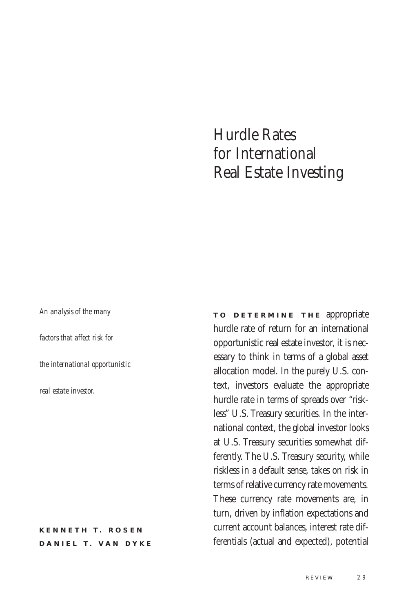# Hurdle Rates for International Real Estate Investing

*An analysis of the many factors that affect risk for the international opportunistic real estate investor.*

**KENNETH T. ROSEN DANIEL T. VAN DYKE**  **TO DETERMINE THE appropriate** hurdle rate of return for an international opportunistic real estate investor, it is necessary to think in terms of a global asset allocation model. In the purely U.S. context, investors evaluate the appropriate hurdle rate in terms of spreads over "riskless" U.S. Treasury securities. In the international context, the global investor looks at U.S. Treasury securities somewhat differently. The U.S. Treasury security, while riskless in a default sense, takes on risk in terms of relative currency rate movements. These currency rate movements are, in turn, driven by inflation expectations and current account balances, interest rate differentials (actual and expected), potential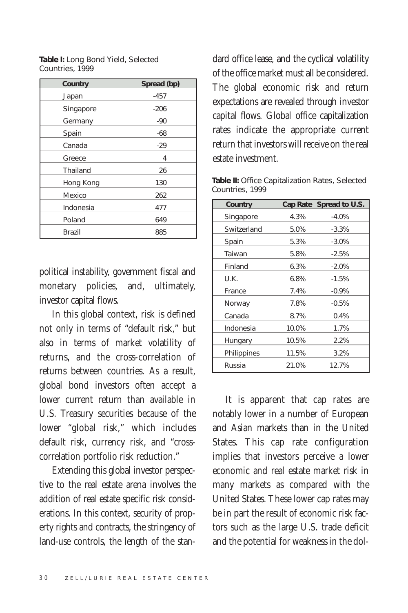| Table I: Long Bond Yield, Selected |  |
|------------------------------------|--|
| Countries, 1999                    |  |

| <b>Country</b> | Spread (bp) |
|----------------|-------------|
| Japan          | $-457$      |
| Singapore      | $-206$      |
| Germany        | -90         |
| Spain          | -68         |
| Canada         | -29         |
| Greece         | 4           |
| Thailand       | 26          |
| Hong Kong      | 130         |
| Mexico         | 262         |
| Indonesia      | 477         |
| Poland         | 649         |
| Brazil         | 885         |

political instability, government fiscal and monetary policies, and, ultimately, investor capital flows.

In this global context, risk is defined not only in terms of "default risk," but also in terms of market volatility of returns, and the cross-correlation of returns between countries. As a result, global bond investors often accept a lower current return than available in U.S. Treasury securities because of the lower "global risk," which includes default risk, currency risk, and "crosscorrelation portfolio risk reduction."

Extending this global investor perspective to the real estate arena involves the addition of real estate specific risk considerations. In this context, security of property rights and contracts, the stringency of land-use controls, the length of the standard office lease, and the cyclical volatility of the office market must all be considered. The global economic risk and return expectations are revealed through investor capital flows. Global office capitalization rates indicate the appropriate current return that investors will receive on the real estate investment.

Table II: Office Capitalization Rates, Selected Countries, 1999

| <b>Country</b> |       | Cap Rate Spread to U.S. |
|----------------|-------|-------------------------|
| Singapore      | 4.3%  | $-4.0%$                 |
| Switzerland    | 5.0%  | $-3.3%$                 |
| Spain          | 5.3%  | $-3.0%$                 |
| Taiwan         | 5.8%  | $-2.5%$                 |
| Finland        | 6.3%  | $-2.0%$                 |
| U.K.           | 6.8%  | $-1.5%$                 |
| France         | 7.4%  | $-0.9%$                 |
| Norway         | 7.8%  | $-0.5%$                 |
| Canada         | 8.7%  | 0.4%                    |
| Indonesia      | 10.0% | 1.7%                    |
| Hungary        | 10.5% | 2.2%                    |
| Philippines    | 11.5% | 3.2%                    |
| Russia         | 21.0% | 12.7%                   |

It is apparent that cap rates are notably lower in a number of European and Asian markets than in the United States. This cap rate configuration implies that investors perceive a lower economic and real estate market risk in many markets as compared with the United States. These lower cap rates may be in part the result of economic risk factors such as the large U.S. trade deficit and the potential for weakness in the dol-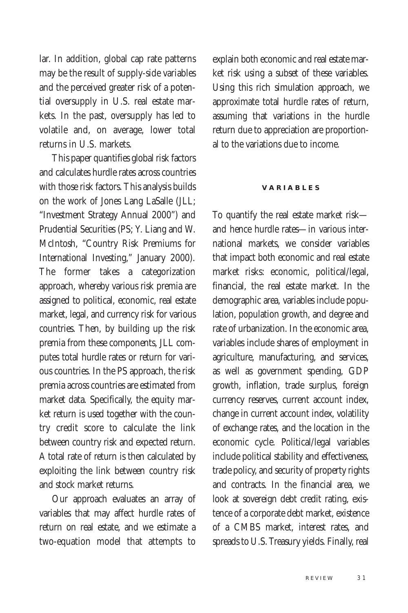lar. In addition, global cap rate patterns may be the result of supply-side variables and the perceived greater risk of a potential oversupply in U.S. real estate markets. In the past, oversupply has led to volatile and, on average, lower total returns in U.S. markets.

This paper quantifies global risk factors and calculates hurdle rates across countries with those risk factors. This analysis builds on the work of Jones Lang LaSalle (JLL; "Investment Strategy Annual 2000") and Prudential Securities (PS; Y. Liang and W. McIntosh, "Country Risk Premiums for International Investing," January 2000). The former takes a categorization approach, whereby various risk premia are assigned to political, economic, real estate market, legal, and currency risk for various countries. Then, by building up the risk premia from these components, JLL computes total hurdle rates or return for various countries. In the PS approach, the risk premia across countries are estimated from market data. Specifically, the equity market return is used together with the country credit score to calculate the link between country risk and expected return. A total rate of return is then calculated by exploiting the link between country risk and stock market returns.

Our approach evaluates an array of variables that may affect hurdle rates of return on real estate, and we estimate a two-equation model that attempts to

explain both economic and real estate market risk using a subset of these variables. Using this rich simulation approach, we approximate total hurdle rates of return, assuming that variations in the hurdle return due to appreciation are proportional to the variations due to income.

#### **V A R I A B L E S**

To quantify the real estate market risk and hence hurdle rates—in various international markets, we consider variables that impact both economic and real estate market risks: economic, political/legal, financial, the real estate market. In the demographic area, variables include population, population growth, and degree and rate of urbanization. In the economic area, variables include shares of employment in agriculture, manufacturing, and services, as well as government spending, GDP growth, inflation, trade surplus, foreign currency reserves, current account index, change in current account index, volatility of exchange rates, and the location in the economic cycle. Political/legal variables include political stability and effectiveness, trade policy, and security of property rights and contracts. In the financial area, we look at sovereign debt credit rating, existence of a corporate debt market, existence of a CMBS market, interest rates, and spreads to U.S. Treasury yields. Finally, real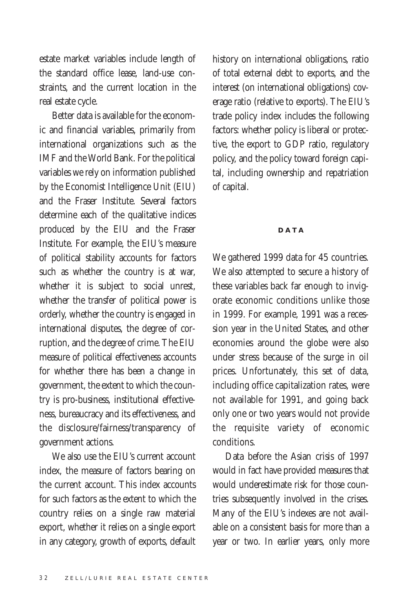estate market variables include length of the standard office lease, land-use constraints, and the current location in the real estate cycle.

Better data is available for the economic and financial variables, primarily from international organizations such as the IMF and the World Bank. For the political variables we rely on information published by the Economist Intelligence Unit (EIU) and the Fraser Institute. Several factors determine each of the qualitative indices produced by the EIU and the Fraser Institute. For example, the EIU's measure of political stability accounts for factors such as whether the country is at war, whether it is subject to social unrest, whether the transfer of political power is orderly, whether the country is engaged in international disputes, the degree of corruption, and the degree of crime. The EIU measure of political effectiveness accounts for whether there has been a change in government, the extent to which the country is pro-business, institutional effectiveness, bureaucracy and its effectiveness, and the disclosure/fairness/transparency of government actions.

We also use the EIU's current account index, the measure of factors bearing on the current account. This index accounts for such factors as the extent to which the country relies on a single raw material export, whether it relies on a single export in any category, growth of exports, default history on international obligations, ratio of total external debt to exports, and the interest (on international obligations) coverage ratio (relative to exports). The EIU's trade policy index includes the following factors: whether policy is liberal or protective, the export to GDP ratio, regulatory policy, and the policy toward foreign capital, including ownership and repatriation of capital.

### **D A T A**

We gathered 1999 data for 45 countries. We also attempted to secure a history of these variables back far enough to invigorate economic conditions unlike those in 1999. For example, 1991 was a recession year in the United States, and other economies around the globe were also under stress because of the surge in oil prices. Unfortunately, this set of data, including office capitalization rates, were not available for 1991, and going back only one or two years would not provide the requisite variety of economic conditions.

Data before the Asian crisis of 1997 would in fact have provided measures that would underestimate risk for those countries subsequently involved in the crises. Many of the EIU's indexes are not available on a consistent basis for more than a year or two. In earlier years, only more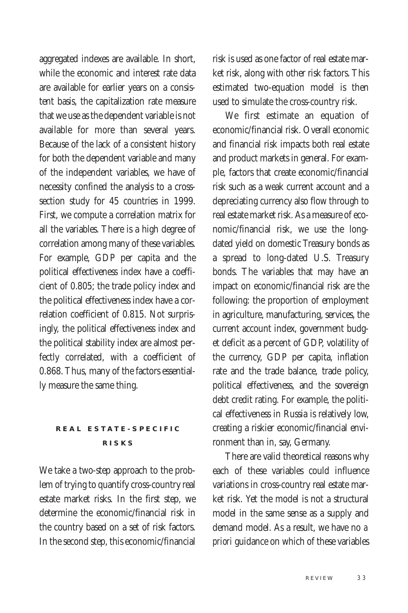aggregated indexes are available. In short, while the economic and interest rate data are available for earlier years on a consistent basis, the capitalization rate measure that we use as the dependent variable is not available for more than several years. Because of the lack of a consistent history for both the dependent variable and many of the independent variables, we have of necessity confined the analysis to a crosssection study for 45 countries in 1999. First, we compute a correlation matrix for all the variables. There is a high degree of correlation among many of these variables. For example, GDP per capita and the political effectiveness index have a coefficient of 0.805; the trade policy index and the political effectiveness index have a correlation coefficient of 0.815. Not surprisingly, the political effectiveness index and the political stability index are almost perfectly correlated, with a coefficient of 0.868. Thus, many of the factors essentially measure the same thing.

## **REAL ESTATE-SPECIFIC R I S K S**

We take a two-step approach to the problem of trying to quantify cross-country real estate market risks. In the first step, we determine the economic/financial risk in the country based on a set of risk factors. In the second step, this economic/financial risk is used as one factor of real estate market risk, along with other risk factors. This estimated two-equation model is then used to simulate the cross-country risk.

We first estimate an equation of economic/financial risk. Overall economic and financial risk impacts both real estate and product markets in general. For example, factors that create economic/financial risk such as a weak current account and a depreciating currency also flow through to real estate market risk. As a measure of economic/financial risk, we use the longdated yield on domestic Treasury bonds as a spread to long-dated U.S. Treasury bonds. The variables that may have an impact on economic/financial risk are the following: the proportion of employment in agriculture, manufacturing, services, the current account index, government budget deficit as a percent of GDP, volatility of the currency, GDP per capita, inflation rate and the trade balance, trade policy, political effectiveness, and the sovereign debt credit rating. For example, the political effectiveness in Russia is relatively low, creating a riskier economic/financial environment than in, say, Germany.

There are valid theoretical reasons why each of these variables could influence variations in cross-country real estate market risk. Yet the model is not a structural model in the same sense as a supply and demand model. As a result, we have no *a priori* guidance on which of these variables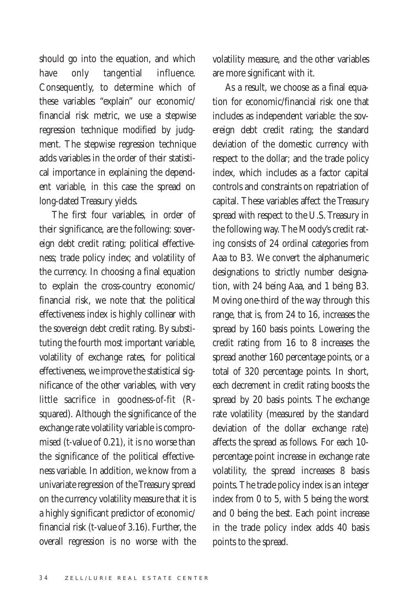should go into the equation, and which have only tangential influence. Consequently, to determine which of these variables "explain" our economic/ financial risk metric, we use a stepwise regression technique modified by judgment. The stepwise regression technique adds variables in the order of their statistical importance in explaining the dependent variable, in this case the spread on long-dated Treasury yields.

The first four variables, in order of their significance, are the following: sovereign debt credit rating; political effectiveness; trade policy index; and volatility of the currency. In choosing a final equation to explain the cross-country economic/ financial risk, we note that the political effectiveness index is highly collinear with the sovereign debt credit rating. By substituting the fourth most important variable, volatility of exchange rates, for political effectiveness, we improve the statistical significance of the other variables, with very little sacrifice in goodness-of-fit (Rsquared). Although the significance of the exchange rate volatility variable is compromised (t-value of 0.21), it is no worse than the significance of the political effectiveness variable. In addition, we know from a univariate regression of the Treasury spread on the currency volatility measure that it is a highly significant predictor of economic/ financial risk (t-value of 3.16). Further, the overall regression is no worse with the

volatility measure, and the other variables are more significant with it.

As a result, we choose as a final equation for economic/financial risk one that includes as independent variable: the sovereign debt credit rating; the standard deviation of the domestic currency with respect to the dollar; and the trade policy index, which includes as a factor capital controls and constraints on repatriation of capital. These variables affect the Treasury spread with respect to the U.S. Treasury in the following way. The Moody's credit rating consists of 24 ordinal categories from Aaa to B3. We convert the alphanumeric designations to strictly number designation, with 24 being Aaa, and 1 being B3. Moving one-third of the way through this range, that is, from 24 to 16, increases the spread by 160 basis points. Lowering the credit rating from 16 to 8 increases the spread another 160 percentage points, or a total of 320 percentage points. In short, each decrement in credit rating boosts the spread by 20 basis points. The exchange rate volatility (measured by the standard deviation of the dollar exchange rate) affects the spread as follows. For each 10 percentage point increase in exchange rate volatility, the spread increases 8 basis points. The trade policy index is an integer index from 0 to 5, with 5 being the worst and 0 being the best. Each point increase in the trade policy index adds 40 basis points to the spread.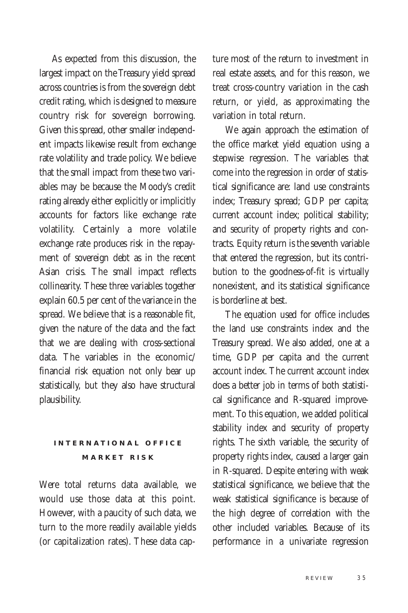As expected from this discussion, the largest impact on the Treasury yield spread across countries is from the sovereign debt credit rating, which is designed to measure country risk for sovereign borrowing. Given this spread, other smaller independent impacts likewise result from exchange rate volatility and trade policy. We believe that the small impact from these two variables may be because the Moody's credit rating already either explicitly or implicitly accounts for factors like exchange rate volatility. Certainly a more volatile exchange rate produces risk in the repayment of sovereign debt as in the recent Asian crisis. The small impact reflects collinearity. These three variables together explain 60.5 per cent of the variance in the spread. We believe that is a reasonable fit, given the nature of the data and the fact that we are dealing with cross-sectional data. The variables in the economic/ financial risk equation not only bear up statistically, but they also have structural plausibility.

## **INTERNATIONAL OFFICE M A R K E T R I S K**

Were total returns data available, we would use those data at this point. However, with a paucity of such data, we turn to the more readily available yields (or capitalization rates). These data capture most of the return to investment in real estate assets, and for this reason, we treat cross-country variation in the cash return, or yield, as approximating the variation in total return.

We again approach the estimation of the office market yield equation using a stepwise regression. The variables that come into the regression in order of statistical significance are: land use constraints index; Treasury spread; GDP per capita; current account index; political stability; and security of property rights and contracts. Equity return is the seventh variable that entered the regression, but its contribution to the goodness-of-fit is virtually nonexistent, and its statistical significance is borderline at best.

The equation used for office includes the land use constraints index and the Treasury spread. We also added, one at a time, GDP per capita and the current account index. The current account index does a better job in terms of both statistical significance and R-squared improvement. To this equation, we added political stability index and security of property rights. The sixth variable, the security of property rights index, caused a larger gain in R-squared. Despite entering with weak statistical significance, we believe that the weak statistical significance is because of the high degree of correlation with the other included variables. Because of its performance in a univariate regression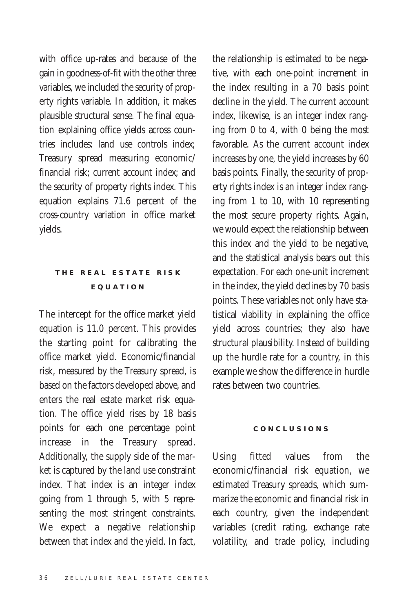with office up-rates and because of the gain in goodness-of-fit with the other three variables, we included the security of property rights variable. In addition, it makes plausible structural sense. The final equation explaining office yields across countries includes: land use controls index; Treasury spread measuring economic/ financial risk; current account index; and the security of property rights index. This equation explains 71.6 percent of the cross-country variation in office market yields.

## **T H E R E A L E S T A T E R I S K E Q U A T I O N**

The intercept for the office market yield equation is 11.0 percent. This provides the starting point for calibrating the office market yield. Economic/financial risk, measured by the Treasury spread, is based on the factors developed above, and enters the real estate market risk equation. The office yield rises by 18 basis points for each one percentage point increase in the Treasury spread. Additionally, the supply side of the market is captured by the land use constraint index. That index is an integer index going from 1 through 5, with 5 representing the most stringent constraints. We expect a negative relationship between that index and the yield. In fact,

the relationship is estimated to be negative, with each one-point increment in the index resulting in a 70 basis point decline in the yield. The current account index, likewise, is an integer index ranging from 0 to 4, with 0 being the most favorable. As the current account index increases by one, the yield increases by 60 basis points. Finally, the security of property rights index is an integer index ranging from 1 to 10, with 10 representing the most secure property rights. Again, we would expect the relationship between this index and the yield to be negative, and the statistical analysis bears out this expectation. For each one-unit increment in the index, the yield declines by 70 basis points. These variables not only have statistical viability in explaining the office yield across countries; they also have structural plausibility. Instead of building up the hurdle rate for a country, in this example we show the difference in hurdle rates between two countries.

#### **C O N C L U S I O N S**

Using fitted values from the economic/financial risk equation, we estimated Treasury spreads, which summarize the economic and financial risk in each country, given the independent variables (credit rating, exchange rate volatility, and trade policy, including